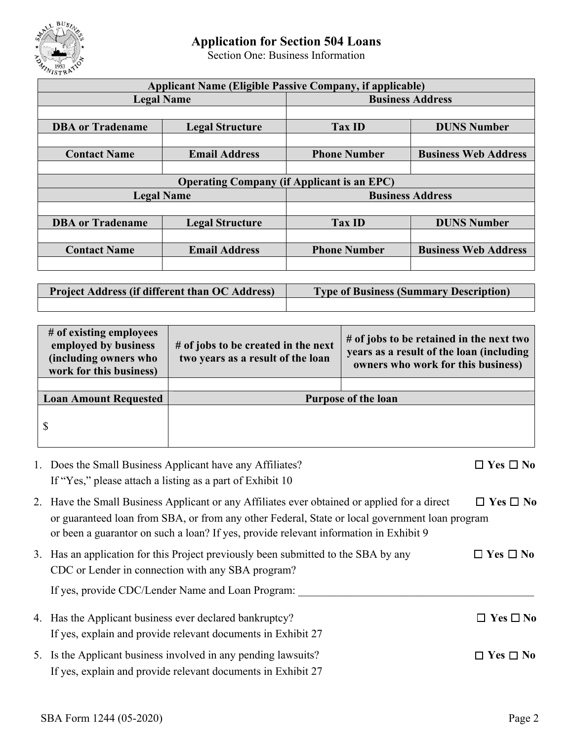

Section One: Business Information

| <b>Applicant Name (Eligible Passive Company, if applicable)</b> |                        |                                                   |                             |
|-----------------------------------------------------------------|------------------------|---------------------------------------------------|-----------------------------|
| <b>Legal Name</b>                                               |                        | <b>Business Address</b>                           |                             |
|                                                                 |                        |                                                   |                             |
| <b>DBA</b> or Tradename                                         | <b>Legal Structure</b> | Tax ID                                            | <b>DUNS Number</b>          |
|                                                                 |                        |                                                   |                             |
| <b>Contact Name</b>                                             | <b>Email Address</b>   | <b>Phone Number</b>                               | <b>Business Web Address</b> |
|                                                                 |                        |                                                   |                             |
|                                                                 |                        | <b>Operating Company (if Applicant is an EPC)</b> |                             |
| <b>Legal Name</b>                                               |                        | <b>Business Address</b>                           |                             |
|                                                                 |                        |                                                   |                             |
| <b>DBA</b> or Tradename                                         | <b>Legal Structure</b> | <b>Tax ID</b>                                     | <b>DUNS Number</b>          |
|                                                                 |                        |                                                   |                             |
| <b>Contact Name</b>                                             | <b>Email Address</b>   | <b>Phone Number</b>                               | <b>Business Web Address</b> |
|                                                                 |                        |                                                   |                             |
|                                                                 |                        |                                                   |                             |

| <b>Project Address (if different than OC Address)</b> | <b>Type of Business (Summary Description)</b> |
|-------------------------------------------------------|-----------------------------------------------|
|                                                       |                                               |

| # of existing employees<br>employed by business<br>(including owners who<br>work for this business) | # of jobs to be created in the next<br>two years as a result of the loan | # of jobs to be retained in the next two<br>years as a result of the loan (including<br>owners who work for this business) |
|-----------------------------------------------------------------------------------------------------|--------------------------------------------------------------------------|----------------------------------------------------------------------------------------------------------------------------|
|                                                                                                     |                                                                          |                                                                                                                            |
| <b>Loan Amount Requested</b>                                                                        |                                                                          | <b>Purpose of the loan</b>                                                                                                 |
|                                                                                                     |                                                                          |                                                                                                                            |

- 1. Does the Small Business Applicant have any Affiliates?  $\square$  **Yes**  $\square$  **No** If "Yes," please attach a listing as a part of Exhibit 10
- 2. Have the Small Business Applicant or any Affiliates ever obtained or applied for a direct  $\Box$  Yes  $\Box$  No or guaranteed loan from SBA, or from any other Federal, State or local government loan program or been a guarantor on such a loan? If yes, provide relevant information in Exhibit 9
- 3. Has an application for this Project previously been submitted to the SBA by any  $\square$  Yes  $\square$  No CDC or Lender in connection with any SBA program? If yes, provide CDC/Lender Name and Loan Program:
- 4. Has the Applicant business ever declared bankruptcy?  $\Box$  Yes  $\Box$  No If yes, explain and provide relevant documents in Exhibit 27 5. Is the Applicant business involved in any pending lawsuits?  $\square$  **Yes**  $\square$  **No**
- If yes, explain and provide relevant documents in Exhibit 27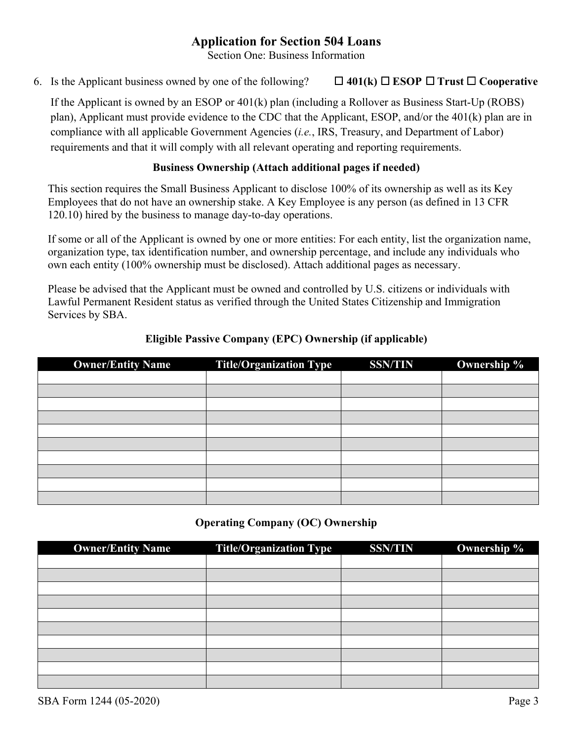Section One: Business Information

### 6. Is the Applicant business owned by one of the following?  $\Box$  401(k)  $\Box$  **ESOP**  $\Box$  Trust  $\Box$  Cooperative

If the Applicant is owned by an ESOP or 401(k) plan (including a Rollover as Business Start-Up (ROBS) plan), Applicant must provide evidence to the CDC that the Applicant, ESOP, and/or the 401(k) plan are in compliance with all applicable Government Agencies (*i.e.*, IRS, Treasury, and Department of Labor) requirements and that it will comply with all relevant operating and reporting requirements.

#### **Business Ownership (Attach additional pages if needed)**

This section requires the Small Business Applicant to disclose 100% of its ownership as well as its Key Employees that do not have an ownership stake. A Key Employee is any person (as defined in 13 CFR 120.10) hired by the business to manage day-to-day operations.

If some or all of the Applicant is owned by one or more entities: For each entity, list the organization name, organization type, tax identification number, and ownership percentage, and include any individuals who own each entity (100% ownership must be disclosed). Attach additional pages as necessary.

Please be advised that the Applicant must be owned and controlled by U.S. citizens or individuals with Lawful Permanent Resident status as verified through the United States Citizenship and Immigration Services by SBA.

| <b>Owner/Entity Name</b> | <b>Title/Organization Type</b> | <b>SSN/TIN</b> | Ownership % |
|--------------------------|--------------------------------|----------------|-------------|
|                          |                                |                |             |
|                          |                                |                |             |
|                          |                                |                |             |
|                          |                                |                |             |
|                          |                                |                |             |
|                          |                                |                |             |
|                          |                                |                |             |
|                          |                                |                |             |
|                          |                                |                |             |
|                          |                                |                |             |

#### **Eligible Passive Company (EPC) Ownership (if applicable)**

### **Operating Company (OC) Ownership**

| <b>Owner/Entity Name</b> | <b>Title/Organization Type</b> | <b>SSN/TIN</b> | Ownership % |
|--------------------------|--------------------------------|----------------|-------------|
|                          |                                |                |             |
|                          |                                |                |             |
|                          |                                |                |             |
|                          |                                |                |             |
|                          |                                |                |             |
|                          |                                |                |             |
|                          |                                |                |             |
|                          |                                |                |             |
|                          |                                |                |             |
|                          |                                |                |             |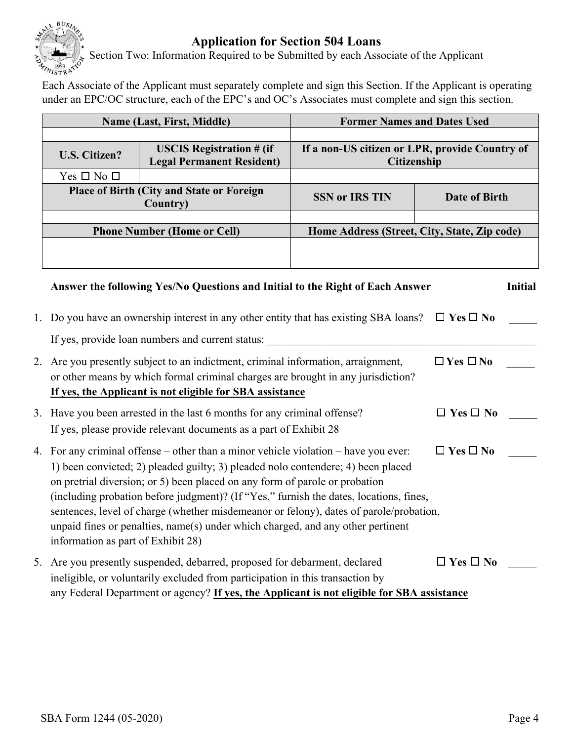

Section Two: Information Required to be Submitted by each Associate of the Applicant

Each Associate of the Applicant must separately complete and sign this Section. If the Applicant is operating under an EPC/OC structure, each of the EPC's and OC's Associates must complete and sign this section.

| <b>Name (Last, First, Middle)</b>                             |                                  | <b>Former Names and Dates Used</b>             |               |
|---------------------------------------------------------------|----------------------------------|------------------------------------------------|---------------|
|                                                               |                                  |                                                |               |
| <b>U.S. Citizen?</b>                                          | <b>USCIS Registration # (if</b>  | If a non-US citizen or LPR, provide Country of |               |
|                                                               | <b>Legal Permanent Resident)</b> | <b>Citizenship</b>                             |               |
| $Yes \Box No \Box$                                            |                                  |                                                |               |
| <b>Place of Birth (City and State or Foreign)</b><br>Country) |                                  | <b>SSN or IRS TIN</b>                          | Date of Birth |
|                                                               |                                  |                                                |               |
| <b>Phone Number (Home or Cell)</b>                            |                                  | Home Address (Street, City, State, Zip code)   |               |
|                                                               |                                  |                                                |               |
|                                                               |                                  |                                                |               |

| Answer the following Yes/No Questions and Initial to the Right of Each Answer                                                                                                                                                                                                                                                                                                                                                                                                                                                                                       |                      | <b>Initial</b> |
|---------------------------------------------------------------------------------------------------------------------------------------------------------------------------------------------------------------------------------------------------------------------------------------------------------------------------------------------------------------------------------------------------------------------------------------------------------------------------------------------------------------------------------------------------------------------|----------------------|----------------|
| 1. Do you have an ownership interest in any other entity that has existing SBA loans? $\Box$ Yes $\Box$ No                                                                                                                                                                                                                                                                                                                                                                                                                                                          |                      |                |
| If yes, provide loan numbers and current status: _______________________________                                                                                                                                                                                                                                                                                                                                                                                                                                                                                    |                      |                |
| 2. Are you presently subject to an indictment, criminal information, arraignment,<br>or other means by which formal criminal charges are brought in any jurisdiction?<br>If yes, the Applicant is not eligible for SBA assistance                                                                                                                                                                                                                                                                                                                                   | $\Box$ Yes $\Box$ No |                |
| 3. Have you been arrested in the last 6 months for any criminal offense?<br>If yes, please provide relevant documents as a part of Exhibit 28                                                                                                                                                                                                                                                                                                                                                                                                                       | $\Box$ Yes $\Box$ No |                |
| 4. For any criminal offense – other than a minor vehicle violation – have you ever:<br>1) been convicted; 2) pleaded guilty; 3) pleaded nolo contendere; 4) been placed<br>on pretrial diversion; or 5) been placed on any form of parole or probation<br>(including probation before judgment)? (If "Yes," furnish the dates, locations, fines,<br>sentences, level of charge (whether misdemeanor or felony), dates of parole/probation,<br>unpaid fines or penalties, name(s) under which charged, and any other pertinent<br>information as part of Exhibit 28) | $\Box$ Yes $\Box$ No |                |
| 5. Are you presently suspended, debarred, proposed for debarment, declared<br>ineligible, or voluntarily excluded from participation in this transaction by<br>any Federal Department or agency? If yes, the Applicant is not eligible for SBA assistance                                                                                                                                                                                                                                                                                                           | $\Box$ Yes $\Box$ No |                |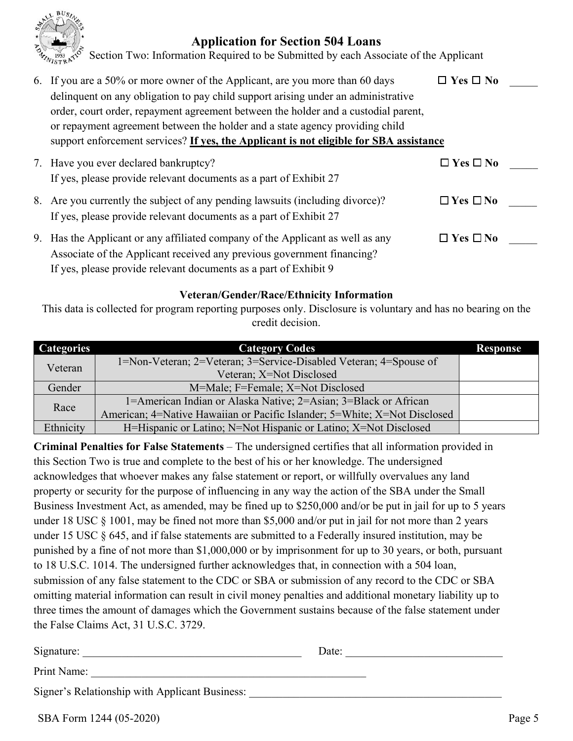Section Two: Information Required to be Submitted by each Associate of the Applicant

| 6. If you are a 50% or more owner of the Applicant, are you more than 60 days<br>delinquent on any obligation to pay child support arising under an administrative<br>order, court order, repayment agreement between the holder and a custodial parent,<br>or repayment agreement between the holder and a state agency providing child<br>support enforcement services? If yes, the Applicant is not eligible for SBA assistance | $\Box$ Yes $\Box$ No |  |
|------------------------------------------------------------------------------------------------------------------------------------------------------------------------------------------------------------------------------------------------------------------------------------------------------------------------------------------------------------------------------------------------------------------------------------|----------------------|--|
| 7. Have you ever declared bankruptcy?<br>If yes, please provide relevant documents as a part of Exhibit 27                                                                                                                                                                                                                                                                                                                         | $\Box$ Yes $\Box$ No |  |
| 8. Are you currently the subject of any pending lawsuits (including divorce)?<br>If yes, please provide relevant documents as a part of Exhibit 27                                                                                                                                                                                                                                                                                 | $\Box$ Yes $\Box$ No |  |
| 9. Has the Applicant or any affiliated company of the Applicant as well as any<br>Associate of the Applicant received any previous government financing?                                                                                                                                                                                                                                                                           | $\Box$ Yes $\Box$ No |  |

#### **Veteran/Gender/Race/Ethnicity Information**

If yes, please provide relevant documents as a part of Exhibit 9

This data is collected for program reporting purposes only. Disclosure is voluntary and has no bearing on the credit decision.

| <b>Categories</b> | <b>Category Codes</b>                                                     | <b>Response</b> |
|-------------------|---------------------------------------------------------------------------|-----------------|
| Veteran           | 1=Non-Veteran; 2=Veteran; 3=Service-Disabled Veteran; 4=Spouse of         |                 |
|                   | Veteran; X=Not Disclosed                                                  |                 |
| Gender            | M=Male; F=Female; X=Not Disclosed                                         |                 |
|                   | 1=American Indian or Alaska Native; 2=Asian; 3=Black or African           |                 |
| Race              | American; 4=Native Hawaiian or Pacific Islander; 5=White; X=Not Disclosed |                 |
| Ethnicity         | H=Hispanic or Latino; N=Not Hispanic or Latino; X=Not Disclosed           |                 |

**Criminal Penalties for False Statements** – The undersigned certifies that all information provided in this Section Two is true and complete to the best of his or her knowledge. The undersigned acknowledges that whoever makes any false statement or report, or willfully overvalues any land property or security for the purpose of influencing in any way the action of the SBA under the Small Business Investment Act, as amended, may be fined up to \$250,000 and/or be put in jail for up to 5 years under 18 USC § 1001, may be fined not more than \$5,000 and/or put in jail for not more than 2 years under 15 USC § 645, and if false statements are submitted to a Federally insured institution, may be punished by a fine of not more than \$1,000,000 or by imprisonment for up to 30 years, or both, pursuant to 18 U.S.C. 1014. The undersigned further acknowledges that, in connection with a 504 loan, submission of any false statement to the CDC or SBA or submission of any record to the CDC or SBA omitting material information can result in civil money penalties and additional monetary liability up to three times the amount of damages which the Government sustains because of the false statement under the False Claims Act, 31 U.S.C. 3729.

| Signature:                                     | Date: |
|------------------------------------------------|-------|
| Print Name:                                    |       |
| Signer's Relationship with Applicant Business: |       |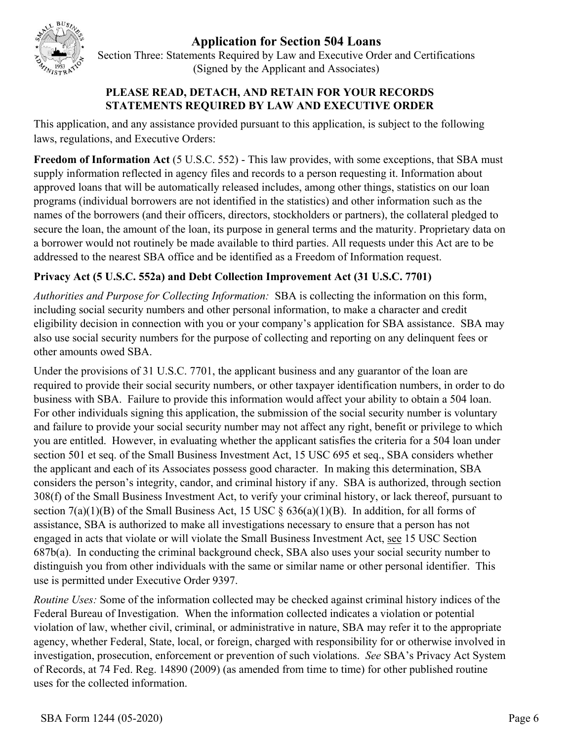

Section Three: Statements Required by Law and Executive Order and Certifications (Signed by the Applicant and Associates)

#### **PLEASE READ, DETACH, AND RETAIN FOR YOUR RECORDS STATEMENTS REQUIRED BY LAW AND EXECUTIVE ORDER**

This application, and any assistance provided pursuant to this application, is subject to the following laws, regulations, and Executive Orders:

**Freedom of Information Act** (5 U.S.C. 552) - This law provides, with some exceptions, that SBA must supply information reflected in agency files and records to a person requesting it. Information about approved loans that will be automatically released includes, among other things, statistics on our loan programs (individual borrowers are not identified in the statistics) and other information such as the names of the borrowers (and their officers, directors, stockholders or partners), the collateral pledged to secure the loan, the amount of the loan, its purpose in general terms and the maturity. Proprietary data on a borrower would not routinely be made available to third parties. All requests under this Act are to be addressed to the nearest SBA office and be identified as a Freedom of Information request.

### **Privacy Act (5 U.S.C. 552a) and Debt Collection Improvement Act (31 U.S.C. 7701)**

*Authorities and Purpose for Collecting Information:* SBA is collecting the information on this form, including social security numbers and other personal information, to make a character and credit eligibility decision in connection with you or your company's application for SBA assistance. SBA may also use social security numbers for the purpose of collecting and reporting on any delinquent fees or other amounts owed SBA.

Under the provisions of 31 U.S.C. 7701, the applicant business and any guarantor of the loan are required to provide their social security numbers, or other taxpayer identification numbers, in order to do business with SBA. Failure to provide this information would affect your ability to obtain a 504 loan. For other individuals signing this application, the submission of the social security number is voluntary and failure to provide your social security number may not affect any right, benefit or privilege to which you are entitled. However, in evaluating whether the applicant satisfies the criteria for a 504 loan under section 501 et seq. of the Small Business Investment Act, 15 USC 695 et seq., SBA considers whether the applicant and each of its Associates possess good character. In making this determination, SBA considers the person's integrity, candor, and criminal history if any. SBA is authorized, through section 308(f) of the Small Business Investment Act, to verify your criminal history, or lack thereof, pursuant to section  $7(a)(1)(B)$  of the Small Business Act, 15 USC  $\S 636(a)(1)(B)$ . In addition, for all forms of assistance, SBA is authorized to make all investigations necessary to ensure that a person has not engaged in acts that violate or will violate the Small Business Investment Act, see 15 USC Section 687b(a). In conducting the criminal background check, SBA also uses your social security number to distinguish you from other individuals with the same or similar name or other personal identifier. This use is permitted under Executive Order 9397.

*Routine Uses:* Some of the information collected may be checked against criminal history indices of the Federal Bureau of Investigation. When the information collected indicates a violation or potential violation of law, whether civil, criminal, or administrative in nature, SBA may refer it to the appropriate agency, whether Federal, State, local, or foreign, charged with responsibility for or otherwise involved in investigation, prosecution, enforcement or prevention of such violations. *See* SBA's Privacy Act System of Records, at 74 Fed. Reg. 14890 (2009) (as amended from time to time) for other published routine uses for the collected information.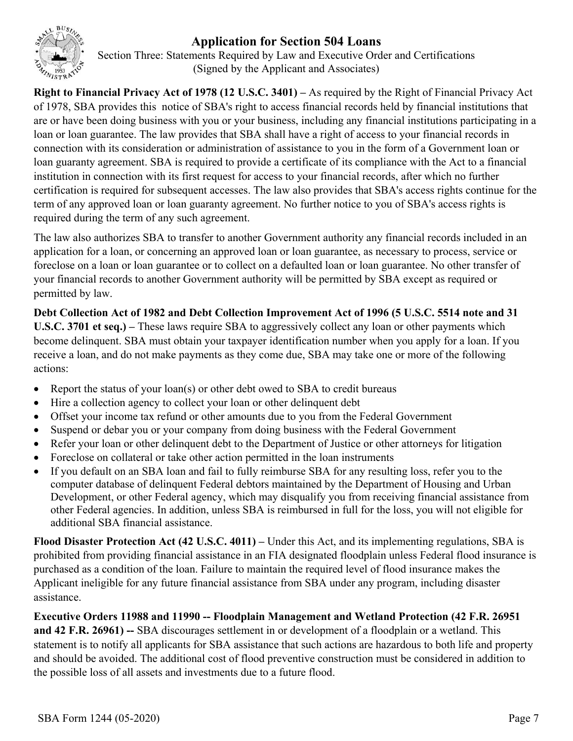

Section Three: Statements Required by Law and Executive Order and Certifications (Signed by the Applicant and Associates)

**Right to Financial Privacy Act of 1978 (12 U.S.C. 3401) –** As required by the Right of Financial Privacy Act of 1978, SBA provides this notice of SBA's right to access financial records held by financial institutions that are or have been doing business with you or your business, including any financial institutions participating in a loan or loan guarantee. The law provides that SBA shall have a right of access to your financial records in connection with its consideration or administration of assistance to you in the form of a Government loan or loan guaranty agreement. SBA is required to provide a certificate of its compliance with the Act to a financial institution in connection with its first request for access to your financial records, after which no further certification is required for subsequent accesses. The law also provides that SBA's access rights continue for the term of any approved loan or loan guaranty agreement. No further notice to you of SBA's access rights is required during the term of any such agreement.

The law also authorizes SBA to transfer to another Government authority any financial records included in an application for a loan, or concerning an approved loan or loan guarantee, as necessary to process, service or foreclose on a loan or loan guarantee or to collect on a defaulted loan or loan guarantee. No other transfer of your financial records to another Government authority will be permitted by SBA except as required or permitted by law.

#### **Debt Collection Act of 1982 and Debt Collection Improvement Act of 1996 (5 U.S.C. 5514 note and 31**

U.S.C. 3701 et seq.) – These laws require SBA to aggressively collect any loan or other payments which become delinquent. SBA must obtain your taxpayer identification number when you apply for a loan. If you receive a loan, and do not make payments as they come due, SBA may take one or more of the following actions:

- Report the status of your loan(s) or other debt owed to SBA to credit bureaus
- Hire a collection agency to collect your loan or other delinquent debt
- Offset your income tax refund or other amounts due to you from the Federal Government
- Suspend or debar you or your company from doing business with the Federal Government
- Refer your loan or other delinquent debt to the Department of Justice or other attorneys for litigation
- Foreclose on collateral or take other action permitted in the loan instruments
- If you default on an SBA loan and fail to fully reimburse SBA for any resulting loss, refer you to the computer database of delinquent Federal debtors maintained by the Department of Housing and Urban Development, or other Federal agency, which may disqualify you from receiving financial assistance from other Federal agencies. In addition, unless SBA is reimbursed in full for the loss, you will not eligible for additional SBA financial assistance.

**Flood Disaster Protection Act (42 U.S.C. 4011) –** Under this Act, and its implementing regulations, SBA is prohibited from providing financial assistance in an FIA designated floodplain unless Federal flood insurance is purchased as a condition of the loan. Failure to maintain the required level of flood insurance makes the Applicant ineligible for any future financial assistance from SBA under any program, including disaster assistance.

**Executive Orders 11988 and 11990 -- Floodplain Management and Wetland Protection (42 F.R. 26951 and 42 F.R. 26961) --** SBA discourages settlement in or development of a floodplain or a wetland. This statement is to notify all applicants for SBA assistance that such actions are hazardous to both life and property and should be avoided. The additional cost of flood preventive construction must be considered in addition to the possible loss of all assets and investments due to a future flood.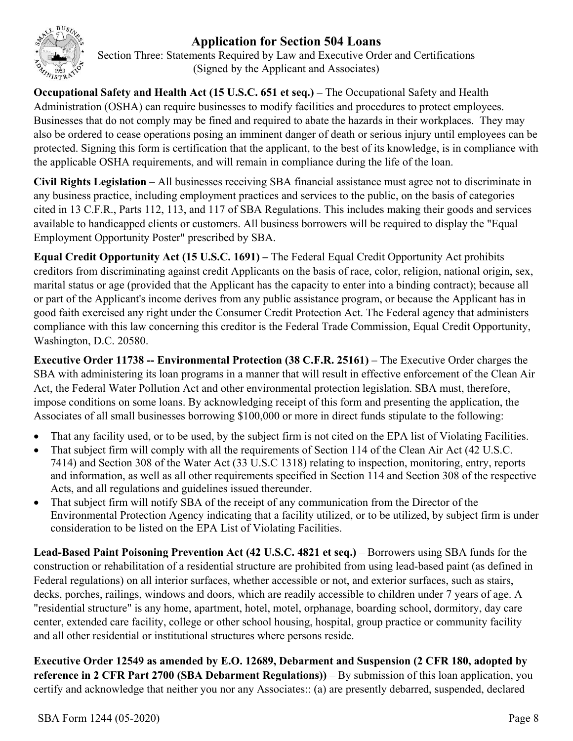

Section Three: Statements Required by Law and Executive Order and Certifications (Signed by the Applicant and Associates)

**Occupational Safety and Health Act (15 U.S.C. 651 et seq.) – The Occupational Safety and Health** Administration (OSHA) can require businesses to modify facilities and procedures to protect employees. Businesses that do not comply may be fined and required to abate the hazards in their workplaces. They may also be ordered to cease operations posing an imminent danger of death or serious injury until employees can be protected. Signing this form is certification that the applicant, to the best of its knowledge, is in compliance with the applicable OSHA requirements, and will remain in compliance during the life of the loan.

**Civil Rights Legislation** – All businesses receiving SBA financial assistance must agree not to discriminate in any business practice, including employment practices and services to the public, on the basis of categories cited in 13 C.F.R., Parts 112, 113, and 117 of SBA Regulations. This includes making their goods and services available to handicapped clients or customers. All business borrowers will be required to display the "Equal Employment Opportunity Poster" prescribed by SBA.

**Equal Credit Opportunity Act (15 U.S.C. 1691) –** The Federal Equal Credit Opportunity Act prohibits creditors from discriminating against credit Applicants on the basis of race, color, religion, national origin, sex, marital status or age (provided that the Applicant has the capacity to enter into a binding contract); because all or part of the Applicant's income derives from any public assistance program, or because the Applicant has in good faith exercised any right under the Consumer Credit Protection Act. The Federal agency that administers compliance with this law concerning this creditor is the Federal Trade Commission, Equal Credit Opportunity, Washington, D.C. 20580.

**Executive Order 11738 -- Environmental Protection (38 C.F.R. 25161) – The Executive Order charges the** SBA with administering its loan programs in a manner that will result in effective enforcement of the Clean Air Act, the Federal Water Pollution Act and other environmental protection legislation. SBA must, therefore, impose conditions on some loans. By acknowledging receipt of this form and presenting the application, the Associates of all small businesses borrowing \$100,000 or more in direct funds stipulate to the following:

- That any facility used, or to be used, by the subject firm is not cited on the EPA list of Violating Facilities.
- That subject firm will comply with all the requirements of Section 114 of the Clean Air Act (42 U.S.C. 7414) and Section 308 of the Water Act (33 U.S.C 1318) relating to inspection, monitoring, entry, reports and information, as well as all other requirements specified in Section 114 and Section 308 of the respective Acts, and all regulations and guidelines issued thereunder.
- That subject firm will notify SBA of the receipt of any communication from the Director of the Environmental Protection Agency indicating that a facility utilized, or to be utilized, by subject firm is under consideration to be listed on the EPA List of Violating Facilities.

**Lead-Based Paint Poisoning Prevention Act (42 U.S.C. 4821 et seq.)** – Borrowers using SBA funds for the construction or rehabilitation of a residential structure are prohibited from using lead-based paint (as defined in Federal regulations) on all interior surfaces, whether accessible or not, and exterior surfaces, such as stairs, decks, porches, railings, windows and doors, which are readily accessible to children under 7 years of age. A "residential structure" is any home, apartment, hotel, motel, orphanage, boarding school, dormitory, day care center, extended care facility, college or other school housing, hospital, group practice or community facility and all other residential or institutional structures where persons reside.

**Executive Order 12549 as amended by E.O. 12689, Debarment and Suspension (2 CFR 180, adopted by reference in 2 CFR Part 2700 (SBA Debarment Regulations))** – By submission of this loan application, you certify and acknowledge that neither you nor any Associates:: (a) are presently debarred, suspended, declared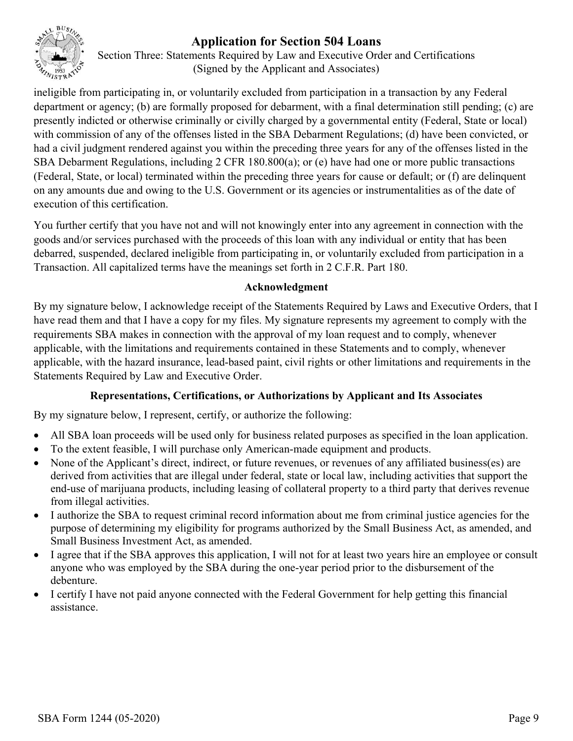

Section Three: Statements Required by Law and Executive Order and Certifications (Signed by the Applicant and Associates)

ineligible from participating in, or voluntarily excluded from participation in a transaction by any Federal department or agency; (b) are formally proposed for debarment, with a final determination still pending; (c) are presently indicted or otherwise criminally or civilly charged by a governmental entity (Federal, State or local) with commission of any of the offenses listed in the SBA Debarment Regulations; (d) have been convicted, or had a civil judgment rendered against you within the preceding three years for any of the offenses listed in the SBA Debarment Regulations, including 2 CFR 180.800(a); or (e) have had one or more public transactions (Federal, State, or local) terminated within the preceding three years for cause or default; or (f) are delinquent on any amounts due and owing to the U.S. Government or its agencies or instrumentalities as of the date of execution of this certification.

You further certify that you have not and will not knowingly enter into any agreement in connection with the goods and/or services purchased with the proceeds of this loan with any individual or entity that has been debarred, suspended, declared ineligible from participating in, or voluntarily excluded from participation in a Transaction. All capitalized terms have the meanings set forth in 2 C.F.R. Part 180.

### **Acknowledgment**

By my signature below, I acknowledge receipt of the Statements Required by Laws and Executive Orders, that I have read them and that I have a copy for my files. My signature represents my agreement to comply with the requirements SBA makes in connection with the approval of my loan request and to comply, whenever applicable, with the limitations and requirements contained in these Statements and to comply, whenever applicable, with the hazard insurance, lead-based paint, civil rights or other limitations and requirements in the Statements Required by Law and Executive Order.

### **Representations, Certifications, or Authorizations by Applicant and Its Associates**

By my signature below, I represent, certify, or authorize the following:

- All SBA loan proceeds will be used only for business related purposes as specified in the loan application.
- To the extent feasible, I will purchase only American-made equipment and products.
- None of the Applicant's direct, indirect, or future revenues, or revenues of any affiliated business(es) are derived from activities that are illegal under federal, state or local law, including activities that support the end-use of marijuana products, including leasing of collateral property to a third party that derives revenue from illegal activities.
- I authorize the SBA to request criminal record information about me from criminal justice agencies for the purpose of determining my eligibility for programs authorized by the Small Business Act, as amended, and Small Business Investment Act, as amended.
- I agree that if the SBA approves this application, I will not for at least two years hire an employee or consult anyone who was employed by the SBA during the one-year period prior to the disbursement of the debenture.
- I certify I have not paid anyone connected with the Federal Government for help getting this financial assistance.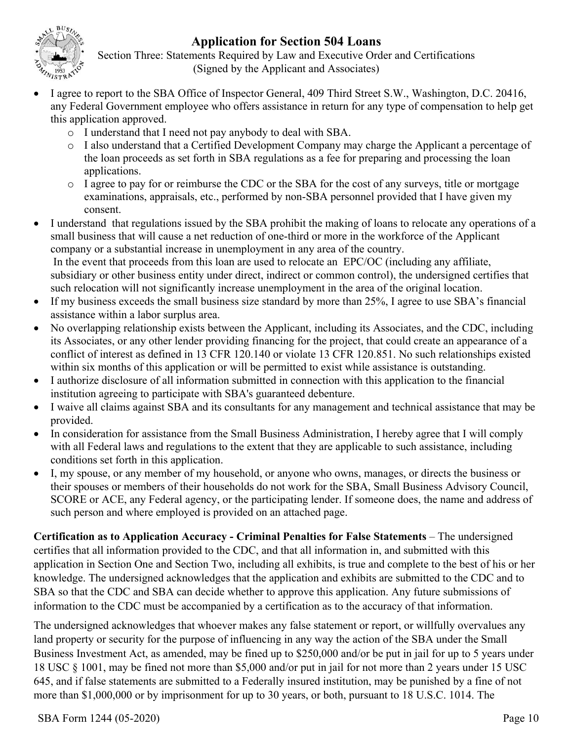

Section Three: Statements Required by Law and Executive Order and Certifications (Signed by the Applicant and Associates)

- I agree to report to the SBA Office of Inspector General, 409 Third Street S.W., Washington, D.C. 20416, any Federal Government employee who offers assistance in return for any type of compensation to help get this application approved.
	- I understand that I need not pay anybody to deal with SBA.
	- I also understand that a Certified Development Company may charge the Applicant a percentage of the loan proceeds as set forth in SBA regulations as a fee for preparing and processing the loan applications.
	- I agree to pay for or reimburse the CDC or the SBA for the cost of any surveys, title or mortgage examinations, appraisals, etc., performed by non-SBA personnel provided that I have given my consent.
- I understand that regulations issued by the SBA prohibit the making of loans to relocate any operations of a small business that will cause a net reduction of one-third or more in the workforce of the Applicant company or a substantial increase in unemployment in any area of the country. In the event that proceeds from this loan are used to relocate an EPC/OC (including any affiliate, subsidiary or other business entity under direct, indirect or common control), the undersigned certifies that such relocation will not significantly increase unemployment in the area of the original location.
- If my business exceeds the small business size standard by more than 25%, I agree to use SBA's financial assistance within a labor surplus area.
- No overlapping relationship exists between the Applicant, including its Associates, and the CDC, including its Associates, or any other lender providing financing for the project, that could create an appearance of a conflict of interest as defined in 13 CFR 120.140 or violate 13 CFR 120.851. No such relationships existed within six months of this application or will be permitted to exist while assistance is outstanding.
- I authorize disclosure of all information submitted in connection with this application to the financial institution agreeing to participate with SBA's guaranteed debenture.
- I waive all claims against SBA and its consultants for any management and technical assistance that may be provided.
- In consideration for assistance from the Small Business Administration, I hereby agree that I will comply with all Federal laws and regulations to the extent that they are applicable to such assistance, including conditions set forth in this application.
- I, my spouse, or any member of my household, or anyone who owns, manages, or directs the business or their spouses or members of their households do not work for the SBA, Small Business Advisory Council, SCORE or ACE, any Federal agency, or the participating lender. If someone does, the name and address of such person and where employed is provided on an attached page.

**Certification as to Application Accuracy - Criminal Penalties for False Statements** – The undersigned certifies that all information provided to the CDC, and that all information in, and submitted with this application in Section One and Section Two, including all exhibits, is true and complete to the best of his or her knowledge. The undersigned acknowledges that the application and exhibits are submitted to the CDC and to SBA so that the CDC and SBA can decide whether to approve this application. Any future submissions of information to the CDC must be accompanied by a certification as to the accuracy of that information.

The undersigned acknowledges that whoever makes any false statement or report, or willfully overvalues any land property or security for the purpose of influencing in any way the action of the SBA under the Small Business Investment Act, as amended, may be fined up to \$250,000 and/or be put in jail for up to 5 years under 18 USC § 1001, may be fined not more than \$5,000 and/or put in jail for not more than 2 years under 15 USC 645, and if false statements are submitted to a Federally insured institution, may be punished by a fine of not more than \$1,000,000 or by imprisonment for up to 30 years, or both, pursuant to 18 U.S.C. 1014. The